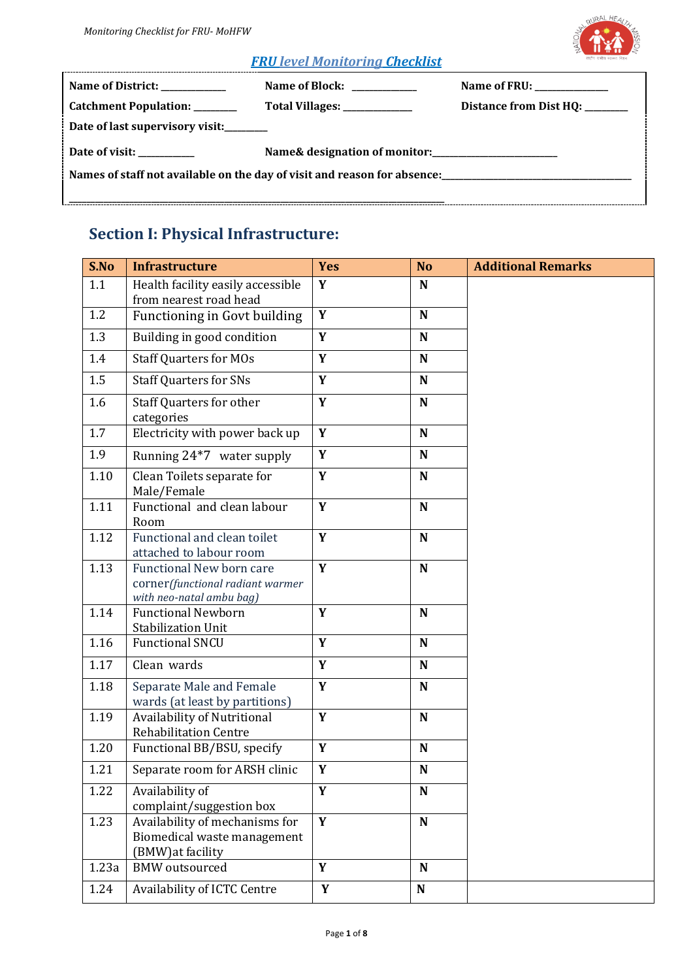

#### *FRU level Monitoring Checklist*

| Name of District: ___________                                            | Name of Block: ___________    | Name of FRU: _____________      |  |  |  |
|--------------------------------------------------------------------------|-------------------------------|---------------------------------|--|--|--|
| Catchment Population: _______                                            | Total Villages: _____________ | Distance from Dist HQ: ________ |  |  |  |
| Date of last supervisory visit:                                          |                               |                                 |  |  |  |
| Date of visit:                                                           |                               |                                 |  |  |  |
| Names of staff not available on the day of visit and reason for absence: |                               |                                 |  |  |  |
|                                                                          |                               |                                 |  |  |  |

# **Section I: Physical Infrastructure:**

| S.No  | <b>Infrastructure</b>                                                                    | <b>Yes</b>  | <b>No</b>   | <b>Additional Remarks</b> |
|-------|------------------------------------------------------------------------------------------|-------------|-------------|---------------------------|
| 1.1   | Health facility easily accessible<br>from nearest road head                              | Y           | $\mathbf N$ |                           |
| 1.2   | Functioning in Govt building                                                             | Y           | $\mathbf N$ |                           |
| 1.3   | Building in good condition                                                               | Y           | $\mathbf N$ |                           |
| 1.4   | <b>Staff Quarters for MOs</b>                                                            | Y           | N           |                           |
| 1.5   | <b>Staff Quarters for SNs</b>                                                            | Y           | $\mathbf N$ |                           |
| 1.6   | <b>Staff Quarters for other</b><br>categories                                            | Y           | ${\bf N}$   |                           |
| 1.7   | Electricity with power back up                                                           | Y           | $\mathbf N$ |                           |
| 1.9   | Running 24*7 water supply                                                                | Y           | N           |                           |
| 1.10  | Clean Toilets separate for<br>Male/Female                                                | Y           | $\mathbf N$ |                           |
| 1.11  | Functional and clean labour<br>Room                                                      | Y           | $\mathbf N$ |                           |
| 1.12  | Functional and clean toilet<br>attached to labour room                                   | Y           | $\mathbf N$ |                           |
| 1.13  | Functional New born care<br>corner(functional radiant warmer<br>with neo-natal ambu bag) | Y           | $\mathbf N$ |                           |
| 1.14  | <b>Functional Newborn</b><br><b>Stabilization Unit</b>                                   | Y           | $\mathbf N$ |                           |
| 1.16  | <b>Functional SNCU</b>                                                                   | Y           | N           |                           |
| 1.17  | Clean wards                                                                              | Y           | N           |                           |
| 1.18  | Separate Male and Female<br>wards (at least by partitions)                               | Y           | N           |                           |
| 1.19  | Availability of Nutritional<br><b>Rehabilitation Centre</b>                              | Y           | $\mathbf N$ |                           |
| 1.20  | Functional BB/BSU, specify                                                               | Y           | N           |                           |
| 1.21  | Separate room for ARSH clinic                                                            | Y           | ${\bf N}$   |                           |
| 1.22  | Availability of<br>complaint/suggestion box                                              | Y           | N           |                           |
| 1.23  | Availability of mechanisms for<br>Biomedical waste management<br>(BMW) at facility       | Y           | ${\bf N}$   |                           |
| 1.23a | <b>BMW</b> outsourced                                                                    | Y           | $\mathbf N$ |                           |
| 1.24  | Availability of ICTC Centre                                                              | $\mathbf Y$ | ${\bf N}$   |                           |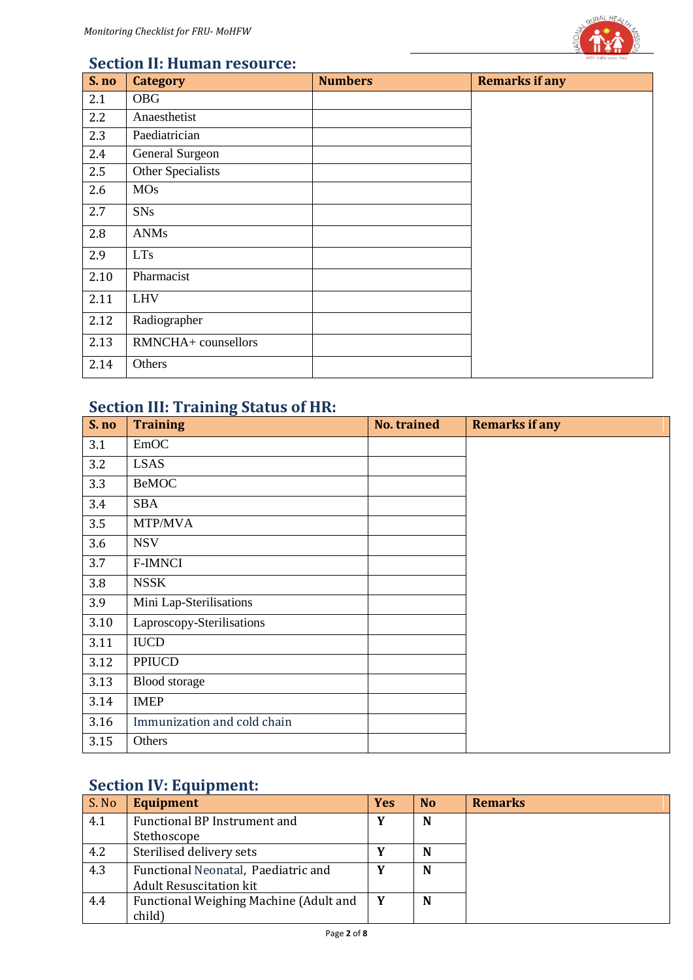

#### **Section II: Human resource:**

| S. no | <b>Category</b>        | <b>Numbers</b> | <b>Remarks if any</b> |
|-------|------------------------|----------------|-----------------------|
| 2.1   | <b>OBG</b>             |                |                       |
| 2.2   | Anaesthetist           |                |                       |
| 2.3   | Paediatrician          |                |                       |
| 2.4   | <b>General Surgeon</b> |                |                       |
| 2.5   | Other Specialists      |                |                       |
| 2.6   | <b>MOs</b>             |                |                       |
| 2.7   | <b>SNs</b>             |                |                       |
| 2.8   | <b>ANMs</b>            |                |                       |
| 2.9   | <b>LTs</b>             |                |                       |
| 2.10  | Pharmacist             |                |                       |
| 2.11  | <b>LHV</b>             |                |                       |
| 2.12  | Radiographer           |                |                       |
| 2.13  | RMNCHA+ counsellors    |                |                       |
| 2.14  | Others                 |                |                       |

# **Section III: Training Status of HR:**

| S. no | <b>Training</b>             | <b>No. trained</b> | <b>Remarks if any</b> |
|-------|-----------------------------|--------------------|-----------------------|
| 3.1   | <b>EmOC</b>                 |                    |                       |
| 3.2   | <b>LSAS</b>                 |                    |                       |
| 3.3   | <b>BeMOC</b>                |                    |                       |
| 3.4   | <b>SBA</b>                  |                    |                       |
| 3.5   | MTP/MVA                     |                    |                       |
| 3.6   | <b>NSV</b>                  |                    |                       |
| 3.7   | <b>F-IMNCI</b>              |                    |                       |
| 3.8   | <b>NSSK</b>                 |                    |                       |
| 3.9   | Mini Lap-Sterilisations     |                    |                       |
| 3.10  | Laproscopy-Sterilisations   |                    |                       |
| 3.11  | <b>IUCD</b>                 |                    |                       |
| 3.12  | <b>PPIUCD</b>               |                    |                       |
| 3.13  | Blood storage               |                    |                       |
| 3.14  | <b>IMEP</b>                 |                    |                       |
| 3.16  | Immunization and cold chain |                    |                       |
| 3.15  | Others                      |                    |                       |

# **Section IV: Equipment:**

| S. No | <b>Equipment</b>                       | <b>Yes</b> | N <sub>0</sub> | <b>Remarks</b> |
|-------|----------------------------------------|------------|----------------|----------------|
| 4.1   | <b>Functional BP Instrument and</b>    | Y          | N              |                |
|       | Stethoscope                            |            |                |                |
| 4.2   | Sterilised delivery sets               | v          | N              |                |
| 4.3   | Functional Neonatal, Paediatric and    | v          | N              |                |
|       | <b>Adult Resuscitation kit</b>         |            |                |                |
| 4.4   | Functional Weighing Machine (Adult and | Y          | N              |                |
|       | child)                                 |            |                |                |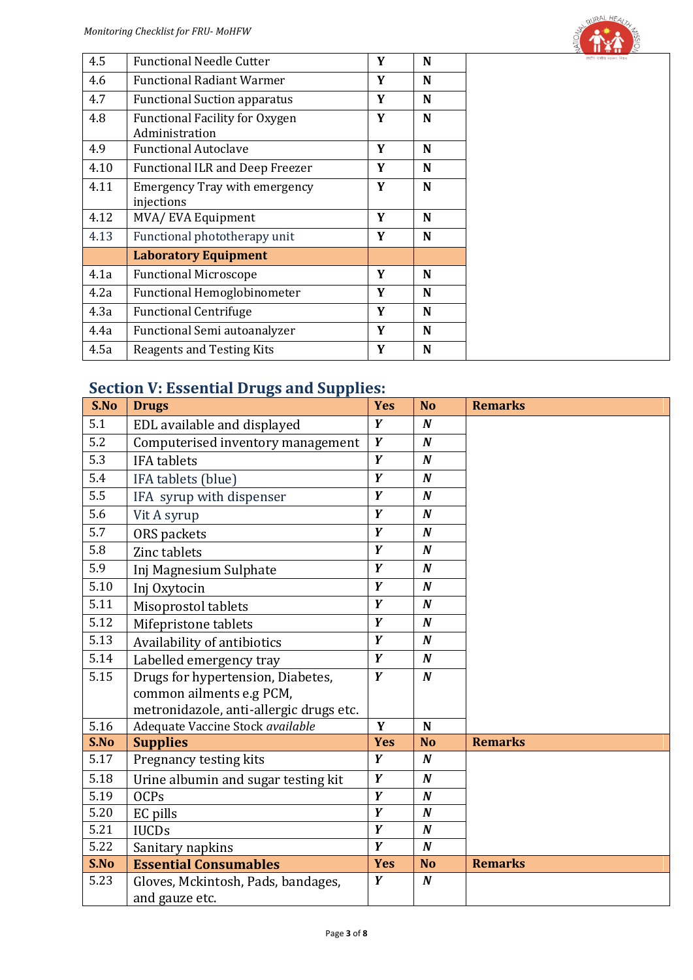

| 4.5  | <b>Functional Needle Cutter</b>                         | Y | N |
|------|---------------------------------------------------------|---|---|
| 4.6  | <b>Functional Radiant Warmer</b>                        | Y | N |
| 4.7  | <b>Functional Suction apparatus</b>                     | Y | N |
| 4.8  | <b>Functional Facility for Oxygen</b><br>Administration | Y | N |
| 4.9  | <b>Functional Autoclave</b>                             | Y | N |
| 4.10 | <b>Functional ILR and Deep Freezer</b>                  | Y | N |
| 4.11 | <b>Emergency Tray with emergency</b><br>injections      | Y | N |
| 4.12 | MVA/EVA Equipment                                       | Y | N |
| 4.13 | Functional phototherapy unit                            | Y | N |
|      | <b>Laboratory Equipment</b>                             |   |   |
| 4.1a | <b>Functional Microscope</b>                            | Y | N |
| 4.2a | <b>Functional Hemoglobinometer</b>                      | Y | N |
| 4.3a | <b>Functional Centrifuge</b>                            | Y | N |
| 4.4a | Functional Semi autoanalyzer                            | Y | N |
| 4.5a | Reagents and Testing Kits                               | Y | N |

#### **Section V: Essential Drugs and Supplies:**

| S.No | $1000$ change $1.44$<br>o unu ouppn<br><b>Drugs</b> | <b>Yes</b>     | <b>No</b>        | <b>Remarks</b> |
|------|-----------------------------------------------------|----------------|------------------|----------------|
| 5.1  | EDL available and displayed                         | Y              | $\boldsymbol{N}$ |                |
| 5.2  | Computerised inventory management                   | Y              | $\boldsymbol{N}$ |                |
| 5.3  | <b>IFA</b> tablets                                  | $\overline{Y}$ | $\boldsymbol{N}$ |                |
| 5.4  | IFA tablets (blue)                                  | Y              | $\boldsymbol{N}$ |                |
| 5.5  | IFA syrup with dispenser                            | Y              | $\boldsymbol{N}$ |                |
| 5.6  | Vit A syrup                                         | $\overline{Y}$ | $\boldsymbol{N}$ |                |
| 5.7  | ORS packets                                         | Y              | $\boldsymbol{N}$ |                |
| 5.8  | Zinc tablets                                        | Y              | $\boldsymbol{N}$ |                |
| 5.9  | Inj Magnesium Sulphate                              | $\overline{Y}$ | $\boldsymbol{N}$ |                |
| 5.10 | Inj Oxytocin                                        | Y              | $\boldsymbol{N}$ |                |
| 5.11 | Misoprostol tablets                                 | Y              | $\boldsymbol{N}$ |                |
| 5.12 | Mifepristone tablets                                | Y              | $\boldsymbol{N}$ |                |
| 5.13 | Availability of antibiotics                         | $\overline{Y}$ | $\boldsymbol{N}$ |                |
| 5.14 | Labelled emergency tray                             | Y              | $\boldsymbol{N}$ |                |
| 5.15 | Drugs for hypertension, Diabetes,                   | Y              | $\boldsymbol{N}$ |                |
|      | common ailments e.g PCM,                            |                |                  |                |
|      | metronidazole, anti-allergic drugs etc.             |                |                  |                |
| 5.16 | Adequate Vaccine Stock available                    | Y              | $\mathbf N$      |                |
| S.No | <b>Supplies</b>                                     | <b>Yes</b>     | <b>No</b>        | <b>Remarks</b> |
| 5.17 | Pregnancy testing kits                              | Y              | $\boldsymbol{N}$ |                |
| 5.18 | Urine albumin and sugar testing kit                 | Y              | $\boldsymbol{N}$ |                |
| 5.19 | <b>OCPs</b>                                         | $\overline{Y}$ | $\boldsymbol{N}$ |                |
| 5.20 | EC pills                                            | Y              | $\boldsymbol{N}$ |                |
| 5.21 | <b>IUCDs</b>                                        | Y              | $\boldsymbol{N}$ |                |
| 5.22 | Sanitary napkins                                    | Y              | $\boldsymbol{N}$ |                |
| S.No | <b>Essential Consumables</b>                        | <b>Yes</b>     | <b>No</b>        | <b>Remarks</b> |
| 5.23 | Gloves, Mckintosh, Pads, bandages,                  | Y              | $\boldsymbol{N}$ |                |
|      | and gauze etc.                                      |                |                  |                |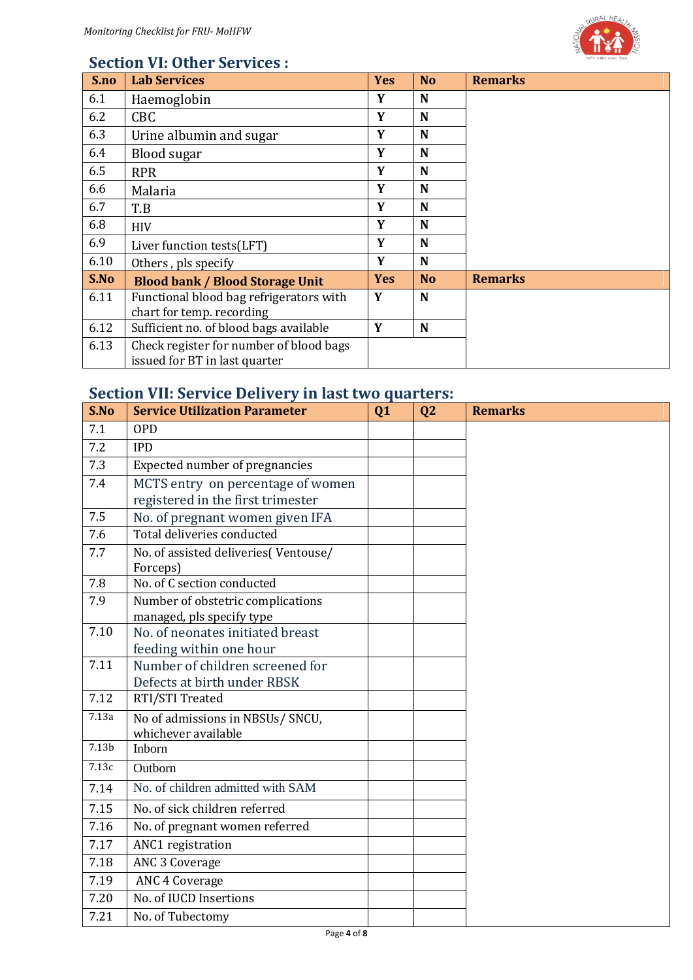

## **Section VI: Other Services :**

| S.no | <b>Lab Services</b>                     | <b>Yes</b> | <b>No</b> | <b>Remarks</b> |
|------|-----------------------------------------|------------|-----------|----------------|
| 6.1  | Haemoglobin                             | Y          | N         |                |
| 6.2  | <b>CBC</b>                              | Y          | N         |                |
| 6.3  | Urine albumin and sugar                 | Y          | N         |                |
| 6.4  | <b>Blood sugar</b>                      | Y          | N         |                |
| 6.5  | <b>RPR</b>                              | Y          | N         |                |
| 6.6  | Malaria                                 | Y          | N         |                |
| 6.7  | T.B                                     | Y          | N         |                |
| 6.8  | <b>HIV</b>                              | Y          | N         |                |
| 6.9  | Liver function tests(LFT)               | Y          | N         |                |
| 6.10 | Others, pls specify                     | Y          | N         |                |
| S.No | <b>Blood bank / Blood Storage Unit</b>  | <b>Yes</b> | <b>No</b> | <b>Remarks</b> |
| 6.11 | Functional blood bag refrigerators with | Y          | N         |                |
|      | chart for temp. recording               |            |           |                |
| 6.12 | Sufficient no. of blood bags available  | Y          | N         |                |
| 6.13 | Check register for number of blood bags |            |           |                |
|      | issued for BT in last quarter           |            |           |                |

## **Section VII: Service Delivery in last two quarters:**

| S.No              | <b>Service Utilization Parameter</b>                   | Q1 | Q <sub>2</sub> | <b>Remarks</b> |
|-------------------|--------------------------------------------------------|----|----------------|----------------|
| 7.1               | <b>OPD</b>                                             |    |                |                |
| 7.2               | <b>IPD</b>                                             |    |                |                |
| 7.3               | Expected number of pregnancies                         |    |                |                |
| 7.4               | MCTS entry on percentage of women                      |    |                |                |
|                   | registered in the first trimester                      |    |                |                |
| 7.5               | No. of pregnant women given IFA                        |    |                |                |
| 7.6               | Total deliveries conducted                             |    |                |                |
| 7.7               | No. of assisted deliveries (Ventouse/<br>Forceps)      |    |                |                |
| 7.8               | No. of C section conducted                             |    |                |                |
| 7.9               | Number of obstetric complications                      |    |                |                |
|                   | managed, pls specify type                              |    |                |                |
| 7.10              | No. of neonates initiated breast                       |    |                |                |
|                   | feeding within one hour                                |    |                |                |
| 7.11              | Number of children screened for                        |    |                |                |
|                   | Defects at birth under RBSK                            |    |                |                |
| 7.12              | RTI/STI Treated                                        |    |                |                |
| 7.13a             | No of admissions in NBSUs/SNCU,<br>whichever available |    |                |                |
| 7.13 <sub>b</sub> | Inborn                                                 |    |                |                |
| 7.13c             | Outborn                                                |    |                |                |
| 7.14              | No. of children admitted with SAM                      |    |                |                |
| 7.15              | No. of sick children referred                          |    |                |                |
| 7.16              | No. of pregnant women referred                         |    |                |                |
| 7.17              | ANC1 registration                                      |    |                |                |
| 7.18              | ANC 3 Coverage                                         |    |                |                |
| 7.19              | <b>ANC 4 Coverage</b>                                  |    |                |                |
| 7.20              | No. of IUCD Insertions                                 |    |                |                |
| 7.21              | No. of Tubectomy                                       |    |                |                |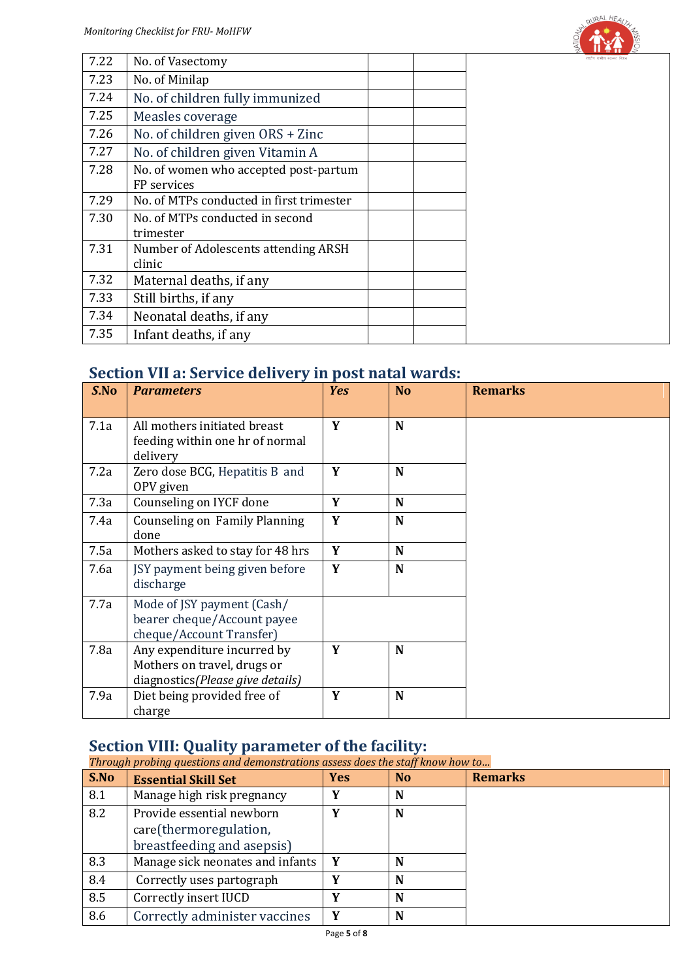

| 7.22 | No. of Vasectomy                         | राष्ट्रीय गामीण स्वास्थ्य निजन |
|------|------------------------------------------|--------------------------------|
| 7.23 | No. of Minilap                           |                                |
| 7.24 | No. of children fully immunized          |                                |
| 7.25 | Measles coverage                         |                                |
| 7.26 | No. of children given ORS + Zinc         |                                |
| 7.27 | No. of children given Vitamin A          |                                |
| 7.28 | No. of women who accepted post-partum    |                                |
|      | FP services                              |                                |
| 7.29 | No. of MTPs conducted in first trimester |                                |
| 7.30 | No. of MTPs conducted in second          |                                |
|      | trimester                                |                                |
| 7.31 | Number of Adolescents attending ARSH     |                                |
|      | clinic                                   |                                |
| 7.32 | Maternal deaths, if any                  |                                |
| 7.33 | Still births, if any                     |                                |
| 7.34 | Neonatal deaths, if any                  |                                |
| 7.35 | Infant deaths, if any                    |                                |

### **Section VII a: Service delivery in post natal wards:**

| S.No | <b>Parameters</b>                                                                              | <b>Yes</b> | <b>No</b> | <b>Remarks</b> |
|------|------------------------------------------------------------------------------------------------|------------|-----------|----------------|
| 7.1a | All mothers initiated breast<br>feeding within one hr of normal<br>delivery                    | Y          | N         |                |
| 7.2a | Zero dose BCG, Hepatitis B and<br>OPV given                                                    | Y          | N         |                |
| 7.3a | Counseling on IYCF done                                                                        | Y          | N         |                |
| 7.4a | Counseling on Family Planning<br>done                                                          | Y          | N         |                |
| 7.5a | Mothers asked to stay for 48 hrs                                                               | Y          | N         |                |
| 7.6a | JSY payment being given before<br>discharge                                                    | Y          | N         |                |
| 7.7a | Mode of JSY payment (Cash/<br>bearer cheque/Account payee<br>cheque/Account Transfer)          |            |           |                |
| 7.8a | Any expenditure incurred by<br>Mothers on travel, drugs or<br>diagnostics(Please give details) | Y          | N         |                |
| 7.9a | Diet being provided free of<br>charge                                                          | Y          | N         |                |

#### **Section VIII: Quality parameter of the facility:**

*Through probing questions and demonstrations assess does the staff know how to…*

| S.No | <b>Essential Skill Set</b>                                                        | <b>Yes</b> | N <sub>0</sub> | <b>Remarks</b> |
|------|-----------------------------------------------------------------------------------|------------|----------------|----------------|
| 8.1  | Manage high risk pregnancy                                                        | v          | N              |                |
| 8.2  | Provide essential newborn<br>care(thermoregulation,<br>breastfeeding and asepsis) |            | N              |                |
| 8.3  | Manage sick neonates and infants                                                  | Y          | N              |                |
| 8.4  | Correctly uses partograph                                                         |            | N              |                |
| 8.5  | Correctly insert IUCD                                                             | v          | N              |                |
| 8.6  | Correctly administer vaccines                                                     | Y          | N              |                |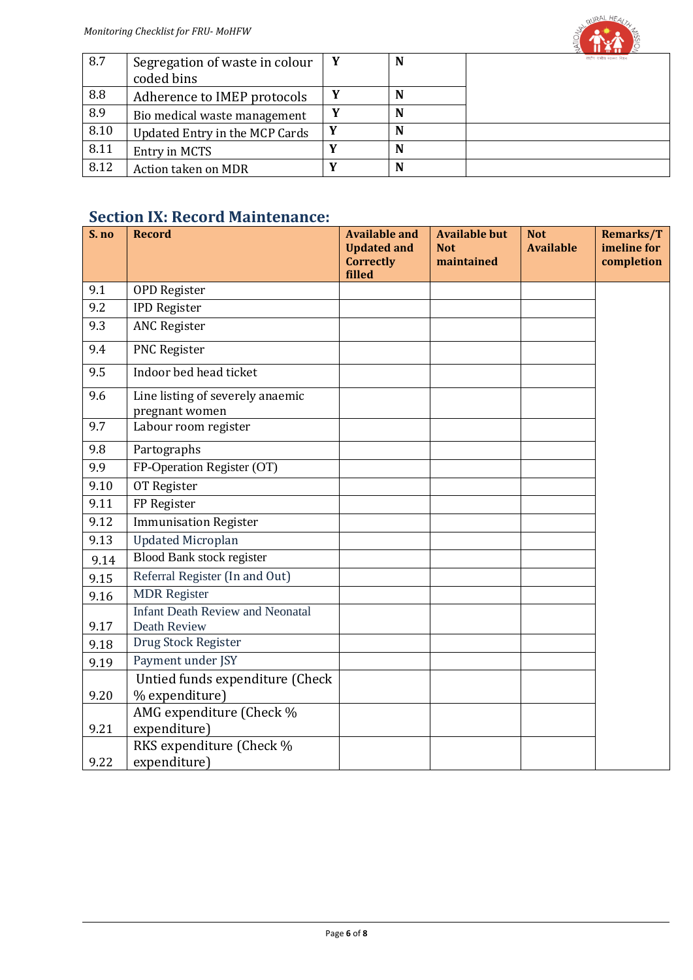

| 8.7  | Segregation of waste in colour | N | राष्ट्रीय गामीण स्वास्थ्य जिलन |
|------|--------------------------------|---|--------------------------------|
|      | coded bins                     |   |                                |
| 8.8  | Adherence to IMEP protocols    | N |                                |
| 8.9  | Bio medical waste management   | N |                                |
| 8.10 | Updated Entry in the MCP Cards | N |                                |
| 8.11 | Entry in MCTS                  | N |                                |
| 8.12 | Action taken on MDR            | N |                                |

### **Section IX: Record Maintenance:**

| S. no        | <b>Record</b>                                                                        | <b>Available and</b>       | <b>Available but</b> | <b>Not</b>       | Remarks/T   |
|--------------|--------------------------------------------------------------------------------------|----------------------------|----------------------|------------------|-------------|
|              |                                                                                      | <b>Updated and</b>         | <b>Not</b>           | <b>Available</b> | imeline for |
|              |                                                                                      | <b>Correctly</b><br>filled | maintained           |                  | completion  |
| 9.1          | <b>OPD Register</b>                                                                  |                            |                      |                  |             |
| 9.2          | <b>IPD Register</b>                                                                  |                            |                      |                  |             |
| 9.3          | <b>ANC Register</b>                                                                  |                            |                      |                  |             |
| 9.4          | PNC Register                                                                         |                            |                      |                  |             |
| 9.5          | Indoor bed head ticket                                                               |                            |                      |                  |             |
| 9.6          | Line listing of severely anaemic<br>pregnant women                                   |                            |                      |                  |             |
| 9.7          | Labour room register                                                                 |                            |                      |                  |             |
| 9.8          | Partographs                                                                          |                            |                      |                  |             |
| 9.9          | FP-Operation Register (OT)                                                           |                            |                      |                  |             |
| 9.10         | OT Register                                                                          |                            |                      |                  |             |
| 9.11         | FP Register                                                                          |                            |                      |                  |             |
| 9.12         | <b>Immunisation Register</b>                                                         |                            |                      |                  |             |
| 9.13         | <b>Updated Microplan</b>                                                             |                            |                      |                  |             |
| 9.14         | <b>Blood Bank stock register</b>                                                     |                            |                      |                  |             |
| 9.15         | Referral Register (In and Out)                                                       |                            |                      |                  |             |
| 9.16         | <b>MDR</b> Register                                                                  |                            |                      |                  |             |
| 9.17         | <b>Infant Death Review and Neonatal</b><br>Death Review                              |                            |                      |                  |             |
| 9.18         | Drug Stock Register                                                                  |                            |                      |                  |             |
| 9.19         | Payment under JSY                                                                    |                            |                      |                  |             |
|              | Untied funds expenditure (Check                                                      |                            |                      |                  |             |
| 9.20         | % expenditure)                                                                       |                            |                      |                  |             |
|              |                                                                                      |                            |                      |                  |             |
|              |                                                                                      |                            |                      |                  |             |
|              |                                                                                      |                            |                      |                  |             |
| 9.21<br>9.22 | AMG expenditure (Check %<br>expenditure)<br>RKS expenditure (Check %<br>expenditure) |                            |                      |                  |             |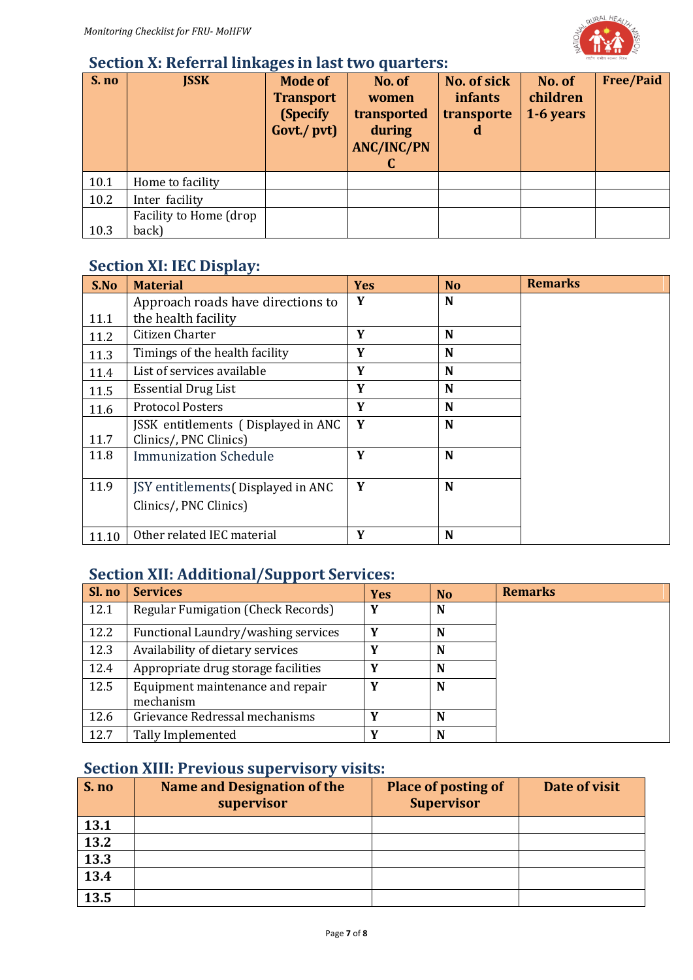

#### **Section X: Referral linkages in last two quarters:**

| S. no | <b>JSSK</b>                     | <b>Mode of</b><br><b>Transport</b><br>(Specify)<br>Govt./ pvt) | No. of<br>women<br>transported<br>during<br><b>ANC/INC/PN</b> | No. of sick<br><i>infants</i><br>transporte<br>$\mathbf d$ | No. of<br>children<br>1-6 years | <b>Free/Paid</b> |
|-------|---------------------------------|----------------------------------------------------------------|---------------------------------------------------------------|------------------------------------------------------------|---------------------------------|------------------|
| 10.1  | Home to facility                |                                                                |                                                               |                                                            |                                 |                  |
| 10.2  | Inter facility                  |                                                                |                                                               |                                                            |                                 |                  |
| 10.3  | Facility to Home (drop<br>back) |                                                                |                                                               |                                                            |                                 |                  |

## **Section XI: IEC Display:**

| S.No  | <b>Material</b>                                               | <b>Yes</b> | <b>No</b> | <b>Remarks</b> |
|-------|---------------------------------------------------------------|------------|-----------|----------------|
|       | Approach roads have directions to                             | Y          | N         |                |
| 11.1  | the health facility                                           |            |           |                |
| 11.2  | Citizen Charter                                               | Y          | N         |                |
| 11.3  | Timings of the health facility                                | Y          | N         |                |
| 11.4  | List of services available                                    | Y          | N         |                |
| 11.5  | <b>Essential Drug List</b>                                    | Y          | N         |                |
| 11.6  | <b>Protocol Posters</b>                                       | Y          | N         |                |
| 11.7  | JSSK entitlements (Displayed in ANC<br>Clinics/, PNC Clinics) | Y          | N         |                |
| 11.8  | <b>Immunization Schedule</b>                                  | Y          | N         |                |
| 11.9  | JSY entitlements (Displayed in ANC                            | Y          | N         |                |
|       | Clinics/, PNC Clinics)                                        |            |           |                |
| 11.10 | Other related IEC material                                    | Y          | N         |                |

#### **Section XII: Additional/Support Services:**

| Sl. no | <b>Services</b>                               | <b>Yes</b> | N <sub>0</sub> | <b>Remarks</b> |
|--------|-----------------------------------------------|------------|----------------|----------------|
| 12.1   | Regular Fumigation (Check Records)            | v          | N              |                |
| 12.2   | Functional Laundry/washing services           | v          | N              |                |
| 12.3   | Availability of dietary services              |            | N              |                |
| 12.4   | Appropriate drug storage facilities           | v          | N              |                |
| 12.5   | Equipment maintenance and repair<br>mechanism | v          | N              |                |
| 12.6   | Grievance Redressal mechanisms                | v          | N              |                |
| 12.7   | Tally Implemented                             |            | N              |                |

## **Section XIII: Previous supervisory visits:**

| S. no | <b>Name and Designation of the</b><br>supervisor | <b>Place of posting of</b><br><b>Supervisor</b> | Date of visit |
|-------|--------------------------------------------------|-------------------------------------------------|---------------|
| 13.1  |                                                  |                                                 |               |
| 13.2  |                                                  |                                                 |               |
| 13.3  |                                                  |                                                 |               |
| 13.4  |                                                  |                                                 |               |
| 13.5  |                                                  |                                                 |               |
|       |                                                  |                                                 |               |